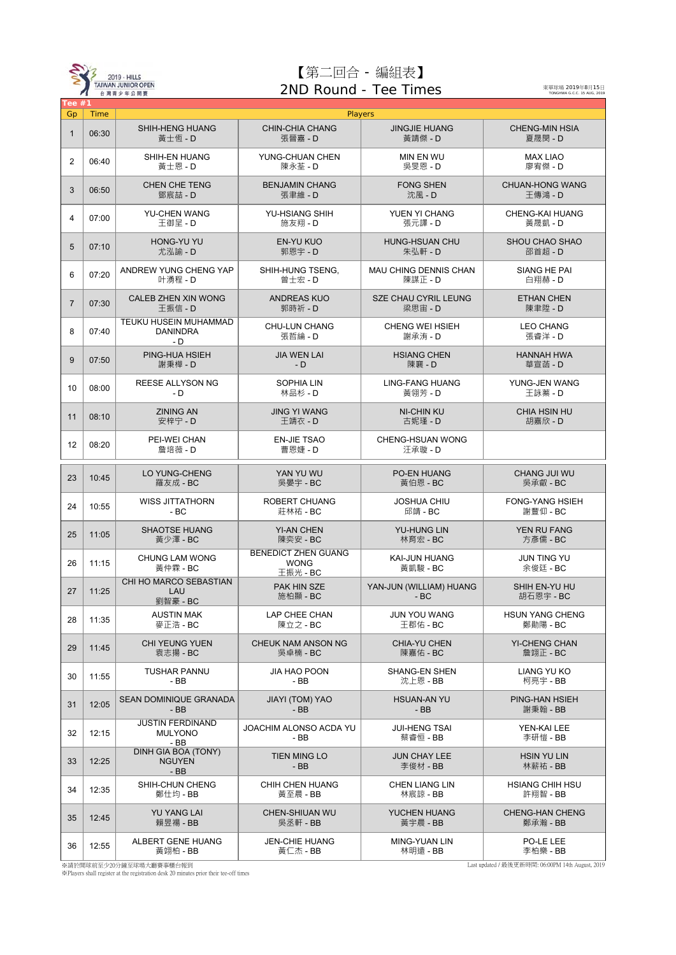

## 【第二回合 - 編組表】 2ND Round - Tee Times

東華球場 2019年8月15日<br>TONGHWA G.C.C. 15 AUG, 2019

ī

| Tee $#1$       |       |                                                        |                                                       |                                         |                                    |
|----------------|-------|--------------------------------------------------------|-------------------------------------------------------|-----------------------------------------|------------------------------------|
| Gp             | Time  |                                                        | Players                                               |                                         |                                    |
| $\mathbf{1}$   | 06:30 | <b>SHIH-HENG HUANG</b><br>黃士恆 - D                      | <b>CHIN-CHIA CHANG</b><br>張晉嘉 - D                     | <b>JINGJIE HUANG</b><br>黃靖傑 - D         | <b>CHENG-MIN HSIA</b><br>夏晟閔 - D   |
| 2              | 06:40 | SHIH-EN HUANG<br>黃士恩 - D                               | YUNG-CHUAN CHEN<br>陳永荃 - D                            | MIN EN WU<br>吳旻恩 - D                    | <b>MAX LIAO</b><br>廖宥傑 - D         |
| 3              | 06:50 | <b>CHEN CHE TENG</b><br>鄧宸喆 - D                        | <b>BENJAMIN CHANG</b><br>張聿維 - D                      | <b>FONG SHEN</b><br>沈風 - D              | <b>CHUAN-HONG WANG</b><br>王傳鴻 - D  |
| 4              | 07:00 | <b>YU-CHEN WANG</b><br>王御呈 - D                         | <b>YU-HSIANG SHIH</b><br>施友翔 - D                      | YUEN YI CHANG<br>張元譯 - D                | CHENG-KAI HUANG<br>黃晟凱 - D         |
| 5              | 07:10 | HONG-YU YU<br>尤泓諭 - D                                  | EN-YU KUO<br>郭恩宇 - D                                  | HUNG-HSUAN CHU<br>朱弘軒 - D               | SHOU CHAO SHAO<br>邵首超 - D          |
| 6              | 07:20 | ANDREW YUNG CHENG YAP<br>叶湧程 - D                       | SHIH-HUNG TSENG,<br>曾士宏 - D                           | <b>MAU CHING DENNIS CHAN</b><br>陳謀正 - D | SIANG HE PAI<br>白翔赫 - D            |
| $\overline{7}$ | 07:30 | CALEB ZHEN XIN WONG<br>王振信 - D                         | <b>ANDREAS KUO</b><br>郭時祈 - D                         | SZE CHAU CYRIL LEUNG<br>梁思宙 - D         | <b>ETHAN CHEN</b><br>陳聿陞 - D       |
| 8              | 07:40 | <b>TEUKU HUSEIN MUHAMMAD</b><br><b>DANINDRA</b><br>- D | <b>CHU-LUN CHANG</b><br>張哲綸 - D                       | CHENG WEI HSIEH<br>謝承洧 - D              | <b>LEO CHANG</b><br>張睿洋 - D        |
| 9              | 07:50 | PING-HUA HSIEH<br>謝秉樺 - D                              | <b>JIA WEN LAI</b><br>$-D$                            | <b>HSIANG CHEN</b><br>陳襄 - D            | <b>HANNAH HWA</b><br>華宣菡 - D       |
| 10             | 08:00 | <b>REESE ALLYSON NG</b><br>- D                         | <b>SOPHIA LIN</b><br>林品杉 - D                          | <b>LING-FANG HUANG</b><br>黃翎芳 - D       | YUNG-JEN WANG<br>王詠蓁 - D           |
| 11             | 08:10 | <b>ZINING AN</b><br>安梓宁 - D                            | <b>JING YI WANG</b><br>王靖衣 - D                        | <b>NI-CHIN KU</b><br>古妮瑾 - D            | <b>CHIA HSIN HU</b><br>胡嘉欣 - D     |
| 12             | 08:20 | PEI-WEI CHAN<br>詹培薇 - D                                | <b>EN-JIE TSAO</b><br>曹恩婕 - D                         | <b>CHENG-HSUAN WONG</b><br>汪承璇 - D      |                                    |
| 23             | 10:45 | LO YUNG-CHENG<br>羅友成 - BC                              | YAN YU WU<br>吳晏宇 - BC                                 | <b>PO-EN HUANG</b><br>黃伯恩 - BC          | <b>CHANG JUI WU</b><br>吳承叡 - BC    |
| 24             | 10:55 | <b>WISS JITTATHORN</b><br>$-BC$                        | <b>ROBERT CHUANG</b><br>莊林祐 - BC                      | <b>JOSHUA CHIU</b><br>邱靖 - BC           | <b>FONG-YANG HSIEH</b><br>謝豐仰 - BC |
| 25             | 11:05 | <b>SHAOTSE HUANG</b><br>黃少澤 - BC                       | <b>YI-AN CHEN</b><br>陳奕安 - BC                         | <b>YU-HUNG LIN</b><br>林育宏 - BC          | <b>YEN RU FANG</b><br>方彥儒 - BC     |
| 26             | 11:15 | <b>CHUNG LAM WONG</b><br>黃仲霖 - BC                      | <b>BENEDICT ZHEN GUANG</b><br><b>WONG</b><br>王振光 - BC | KAI-JUN HUANG<br>黃凱駿 - BC               | <b>JUN TING YU</b><br>余俊廷 - BC     |
| 27             | 11:25 | <b>CHI HO MARCO SEBASTIAN</b><br>LAU<br>劉智豪 - BC       | PAK HIN SZE<br>施柏顯 - BC                               | YAN-JUN (WILLIAM) HUANG<br>$-BC$        | SHIH EN-YU HU<br>胡石恩宇 - BC         |
| 28             | 11:35 | <b>AUSTIN MAK</b><br>麥正浩 - BC                          | LAP CHEE CHAN<br>陳立之 - BC                             | <b>JUN YOU WANG</b><br>王郡佑 - BC         | <b>HSUN YANG CHENG</b><br>鄭勛陽 - BC |
| 29             | 11:45 | <b>CHI YEUNG YUEN</b><br>袁志揚 - BC                      | CHEUK NAM ANSON NG<br>吳卓楠 - BC                        | CHIA-YU CHEN<br>陳嘉佑 - BC                | <b>YI-CHENG CHAN</b><br>詹翊正 - BC   |
| 30             | 11:55 | <b>TUSHAR PANNU</b><br>- BB                            | <b>JIA HAO POON</b><br>$-BB$                          | <b>SHANG-EN SHEN</b><br>沈上恩 - BB        | <b>LIANG YU KO</b><br>柯亮宇 - BB     |
| 31             | 12:05 | SEAN DOMINIQUE GRANADA<br>$-BB$                        | JIAYI (TOM) YAO<br>$-BB$                              | <b>HSUAN-AN YU</b><br>$-BB$             | PING-HAN HSIEH<br>謝秉翰 - BB         |
| 32             | 12:15 | <b>JUSTIN FERDINAND</b><br><b>MULYONO</b><br>$-BB$     | JOACHIM ALONSO ACDA YU<br>- BB                        | <b>JUI-HENG TSAI</b><br>蔡睿恒 - BB        | YEN-KAI LEE<br>李研愷 - BB            |
| 33             | 12:25 | DINH GIA BOA (TONY)<br><b>NGUYEN</b><br>$-BB$          | TIEN MING LO<br>$-BB$                                 | <b>JUN CHAY LEE</b><br>李俊材 - BB         | <b>HSIN YU LIN</b><br>林薪祐 - BB     |
| 34             | 12:35 | SHIH-CHUN CHENG<br>鄭仕均 - BB                            | CHIH CHEN HUANG<br>黃至晨 - BB                           | <b>CHEN LIANG LIN</b><br>林宸諒 - BB       | <b>HSIANG CHIH HSU</b><br>許翔智 - BB |
| 35             | 12:45 | YU YANG LAI<br>賴昱禓 - BB                                | CHEN-SHIUAN WU<br>吳丞軒 - BB                            | YUCHEN HUANG<br>黃宇晨 - BB                | <b>CHENG-HAN CHENG</b><br>鄭承瀚 - BB |
| 36             | 12:55 | ALBERT GENE HUANG<br>黃翊柏 - BB                          | <b>JEN-CHIE HUANG</b><br>黃仁杰 - BB                     | MING-YUAN LIN<br>林明遠 - BB               | PO-LE LEE<br>李柏樂 - BB              |

※請於開球前至少20分鐘至球場大廳賽事櫃台報到 ※Players shall register at the registration desk 20 minutes prior their tee-off times

Last updated / 最後更新時間: 06:00PM 14th August, 2019